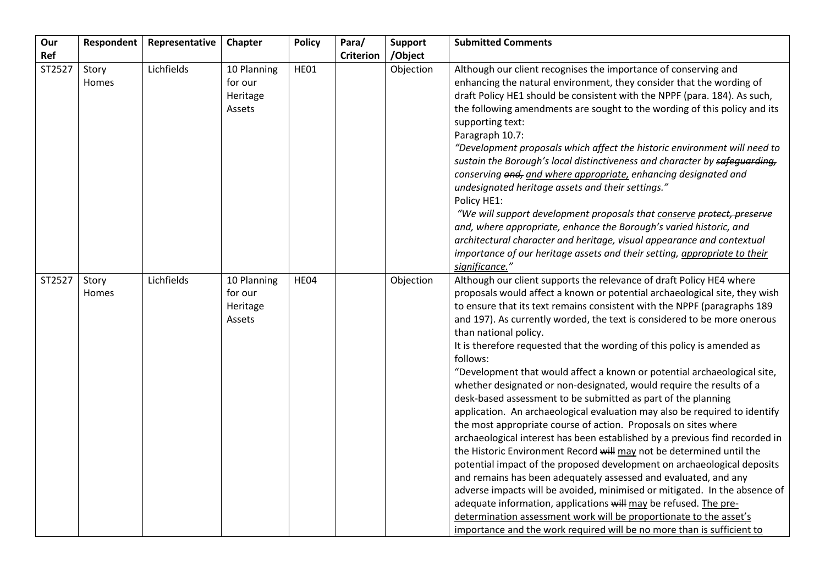| Our    | Respondent     | Representative | <b>Chapter</b>                               | <b>Policy</b> | Para/            | <b>Support</b> | <b>Submitted Comments</b>                                                                                                                                                                                                                                                                                                                                                                                                                                                                                                                                                                                                                                                                                                                                                                                                                                                                                                                                                                                                                                                                                                                                                                                                                                                                                                                                                                                                 |
|--------|----------------|----------------|----------------------------------------------|---------------|------------------|----------------|---------------------------------------------------------------------------------------------------------------------------------------------------------------------------------------------------------------------------------------------------------------------------------------------------------------------------------------------------------------------------------------------------------------------------------------------------------------------------------------------------------------------------------------------------------------------------------------------------------------------------------------------------------------------------------------------------------------------------------------------------------------------------------------------------------------------------------------------------------------------------------------------------------------------------------------------------------------------------------------------------------------------------------------------------------------------------------------------------------------------------------------------------------------------------------------------------------------------------------------------------------------------------------------------------------------------------------------------------------------------------------------------------------------------------|
| Ref    |                |                |                                              |               | <b>Criterion</b> | /Object        |                                                                                                                                                                                                                                                                                                                                                                                                                                                                                                                                                                                                                                                                                                                                                                                                                                                                                                                                                                                                                                                                                                                                                                                                                                                                                                                                                                                                                           |
| ST2527 | Story<br>Homes | Lichfields     | 10 Planning<br>for our<br>Heritage<br>Assets | HE01          |                  | Objection      | Although our client recognises the importance of conserving and<br>enhancing the natural environment, they consider that the wording of<br>draft Policy HE1 should be consistent with the NPPF (para. 184). As such,<br>the following amendments are sought to the wording of this policy and its<br>supporting text:<br>Paragraph 10.7:<br>"Development proposals which affect the historic environment will need to<br>sustain the Borough's local distinctiveness and character by safequarding,<br>conserving and, and where appropriate, enhancing designated and<br>undesignated heritage assets and their settings."<br>Policy HE1:<br>"We will support development proposals that conserve protect, preserve<br>and, where appropriate, enhance the Borough's varied historic, and<br>architectural character and heritage, visual appearance and contextual<br>importance of our heritage assets and their setting, appropriate to their                                                                                                                                                                                                                                                                                                                                                                                                                                                                         |
| ST2527 | Story<br>Homes | Lichfields     | 10 Planning<br>for our<br>Heritage<br>Assets | HE04          |                  | Objection      | significance."<br>Although our client supports the relevance of draft Policy HE4 where<br>proposals would affect a known or potential archaeological site, they wish<br>to ensure that its text remains consistent with the NPPF (paragraphs 189<br>and 197). As currently worded, the text is considered to be more onerous<br>than national policy.<br>It is therefore requested that the wording of this policy is amended as<br>follows:<br>"Development that would affect a known or potential archaeological site,<br>whether designated or non-designated, would require the results of a<br>desk-based assessment to be submitted as part of the planning<br>application. An archaeological evaluation may also be required to identify<br>the most appropriate course of action. Proposals on sites where<br>archaeological interest has been established by a previous find recorded in<br>the Historic Environment Record will may not be determined until the<br>potential impact of the proposed development on archaeological deposits<br>and remains has been adequately assessed and evaluated, and any<br>adverse impacts will be avoided, minimised or mitigated. In the absence of<br>adequate information, applications will may be refused. The pre-<br>determination assessment work will be proportionate to the asset's<br>importance and the work required will be no more than is sufficient to |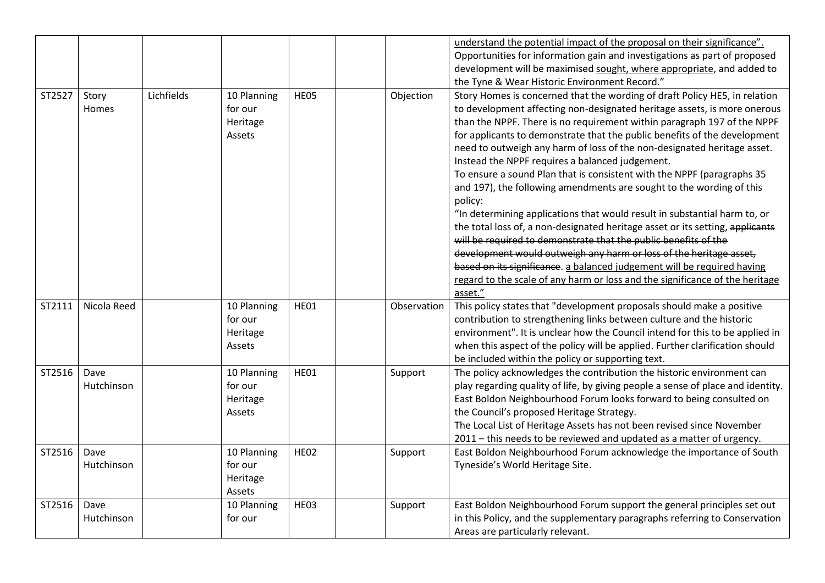|        |                    |            |                                                     |             |             | understand the potential impact of the proposal on their significance".<br>Opportunities for information gain and investigations as part of proposed<br>development will be maximised sought, where appropriate, and added to<br>the Tyne & Wear Historic Environment Record."                                                                                                                                                                                                                                                                                                                                                                                                                                                                                                                                                                                                                                                                                                                                                                                                         |
|--------|--------------------|------------|-----------------------------------------------------|-------------|-------------|----------------------------------------------------------------------------------------------------------------------------------------------------------------------------------------------------------------------------------------------------------------------------------------------------------------------------------------------------------------------------------------------------------------------------------------------------------------------------------------------------------------------------------------------------------------------------------------------------------------------------------------------------------------------------------------------------------------------------------------------------------------------------------------------------------------------------------------------------------------------------------------------------------------------------------------------------------------------------------------------------------------------------------------------------------------------------------------|
| ST2527 | Story<br>Homes     | Lichfields | 10 Planning<br>for our<br>Heritage<br>Assets        | HE05        | Objection   | Story Homes is concerned that the wording of draft Policy HE5, in relation<br>to development affecting non-designated heritage assets, is more onerous<br>than the NPPF. There is no requirement within paragraph 197 of the NPPF<br>for applicants to demonstrate that the public benefits of the development<br>need to outweigh any harm of loss of the non-designated heritage asset.<br>Instead the NPPF requires a balanced judgement.<br>To ensure a sound Plan that is consistent with the NPPF (paragraphs 35<br>and 197), the following amendments are sought to the wording of this<br>policy:<br>"In determining applications that would result in substantial harm to, or<br>the total loss of, a non-designated heritage asset or its setting, applicants<br>will be required to demonstrate that the public benefits of the<br>development would outweigh any harm or loss of the heritage asset,<br>based on its significance. a balanced judgement will be required having<br>regard to the scale of any harm or loss and the significance of the heritage<br>asset." |
| ST2111 | Nicola Reed        |            | 10 Planning<br>for our<br>Heritage<br>Assets        | <b>HE01</b> | Observation | This policy states that "development proposals should make a positive<br>contribution to strengthening links between culture and the historic<br>environment". It is unclear how the Council intend for this to be applied in<br>when this aspect of the policy will be applied. Further clarification should<br>be included within the policy or supporting text.                                                                                                                                                                                                                                                                                                                                                                                                                                                                                                                                                                                                                                                                                                                     |
| ST2516 | Dave<br>Hutchinson |            | 10 Planning<br>for our<br>Heritage<br><b>Assets</b> | HE01        | Support     | The policy acknowledges the contribution the historic environment can<br>play regarding quality of life, by giving people a sense of place and identity.<br>East Boldon Neighbourhood Forum looks forward to being consulted on<br>the Council's proposed Heritage Strategy.<br>The Local List of Heritage Assets has not been revised since November<br>2011 - this needs to be reviewed and updated as a matter of urgency.                                                                                                                                                                                                                                                                                                                                                                                                                                                                                                                                                                                                                                                          |
| ST2516 | Dave<br>Hutchinson |            | 10 Planning<br>for our<br>Heritage<br>Assets        | <b>HE02</b> | Support     | East Boldon Neighbourhood Forum acknowledge the importance of South<br>Tyneside's World Heritage Site.                                                                                                                                                                                                                                                                                                                                                                                                                                                                                                                                                                                                                                                                                                                                                                                                                                                                                                                                                                                 |
| ST2516 | Dave<br>Hutchinson |            | 10 Planning<br>for our                              | HE03        | Support     | East Boldon Neighbourhood Forum support the general principles set out<br>in this Policy, and the supplementary paragraphs referring to Conservation<br>Areas are particularly relevant.                                                                                                                                                                                                                                                                                                                                                                                                                                                                                                                                                                                                                                                                                                                                                                                                                                                                                               |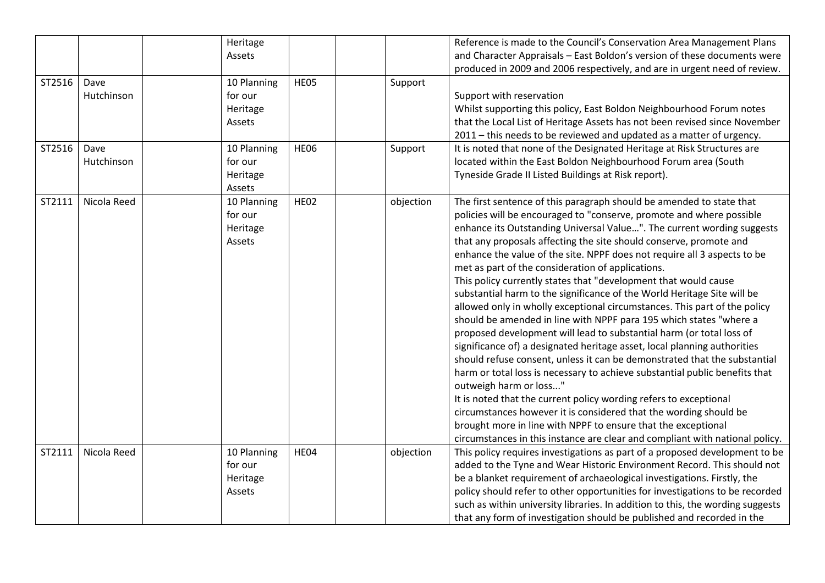| ST2516<br>ST2516 | Dave<br>Hutchinson<br>Dave | Heritage<br>Assets<br>10 Planning<br>for our<br>Heritage<br>Assets | HE05<br>HE06 | Support   | Reference is made to the Council's Conservation Area Management Plans<br>and Character Appraisals - East Boldon's version of these documents were<br>produced in 2009 and 2006 respectively, and are in urgent need of review.<br>Support with reservation<br>Whilst supporting this policy, East Boldon Neighbourhood Forum notes<br>that the Local List of Heritage Assets has not been revised since November<br>2011 - this needs to be reviewed and updated as a matter of urgency.                                                                                                                                                                                                                                                                                                                                                                                                                                                                                                                                                                                                                                                                                                                                                                                                                                                                            |
|------------------|----------------------------|--------------------------------------------------------------------|--------------|-----------|---------------------------------------------------------------------------------------------------------------------------------------------------------------------------------------------------------------------------------------------------------------------------------------------------------------------------------------------------------------------------------------------------------------------------------------------------------------------------------------------------------------------------------------------------------------------------------------------------------------------------------------------------------------------------------------------------------------------------------------------------------------------------------------------------------------------------------------------------------------------------------------------------------------------------------------------------------------------------------------------------------------------------------------------------------------------------------------------------------------------------------------------------------------------------------------------------------------------------------------------------------------------------------------------------------------------------------------------------------------------|
|                  | Hutchinson                 | 10 Planning<br>for our<br>Heritage<br>Assets                       |              | Support   | It is noted that none of the Designated Heritage at Risk Structures are<br>located within the East Boldon Neighbourhood Forum area (South<br>Tyneside Grade II Listed Buildings at Risk report).                                                                                                                                                                                                                                                                                                                                                                                                                                                                                                                                                                                                                                                                                                                                                                                                                                                                                                                                                                                                                                                                                                                                                                    |
| ST2111           | Nicola Reed                | 10 Planning<br>for our<br>Heritage<br>Assets                       | <b>HE02</b>  | objection | The first sentence of this paragraph should be amended to state that<br>policies will be encouraged to "conserve, promote and where possible<br>enhance its Outstanding Universal Value". The current wording suggests<br>that any proposals affecting the site should conserve, promote and<br>enhance the value of the site. NPPF does not require all 3 aspects to be<br>met as part of the consideration of applications.<br>This policy currently states that "development that would cause<br>substantial harm to the significance of the World Heritage Site will be<br>allowed only in wholly exceptional circumstances. This part of the policy<br>should be amended in line with NPPF para 195 which states "where a<br>proposed development will lead to substantial harm (or total loss of<br>significance of) a designated heritage asset, local planning authorities<br>should refuse consent, unless it can be demonstrated that the substantial<br>harm or total loss is necessary to achieve substantial public benefits that<br>outweigh harm or loss"<br>It is noted that the current policy wording refers to exceptional<br>circumstances however it is considered that the wording should be<br>brought more in line with NPPF to ensure that the exceptional<br>circumstances in this instance are clear and compliant with national policy. |
| ST2111           | Nicola Reed                | 10 Planning<br>for our<br>Heritage<br>Assets                       | HE04         | objection | This policy requires investigations as part of a proposed development to be<br>added to the Tyne and Wear Historic Environment Record. This should not<br>be a blanket requirement of archaeological investigations. Firstly, the<br>policy should refer to other opportunities for investigations to be recorded<br>such as within university libraries. In addition to this, the wording suggests<br>that any form of investigation should be published and recorded in the                                                                                                                                                                                                                                                                                                                                                                                                                                                                                                                                                                                                                                                                                                                                                                                                                                                                                       |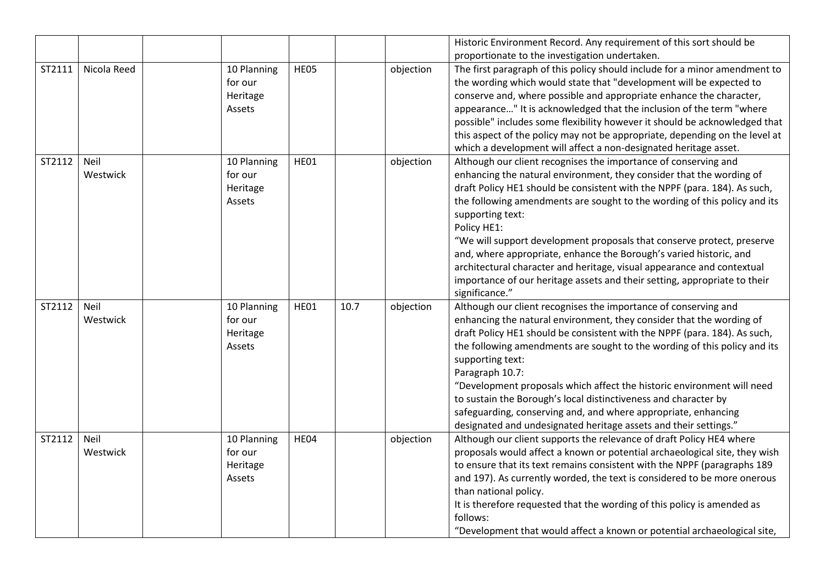|        |                  |                                              |             |      |           | Historic Environment Record. Any requirement of this sort should be                                                                                                                                                                                                                                                                                                                                                                                                                                                                                                                                                                                           |
|--------|------------------|----------------------------------------------|-------------|------|-----------|---------------------------------------------------------------------------------------------------------------------------------------------------------------------------------------------------------------------------------------------------------------------------------------------------------------------------------------------------------------------------------------------------------------------------------------------------------------------------------------------------------------------------------------------------------------------------------------------------------------------------------------------------------------|
|        |                  |                                              |             |      |           | proportionate to the investigation undertaken.                                                                                                                                                                                                                                                                                                                                                                                                                                                                                                                                                                                                                |
| ST2111 | Nicola Reed      | 10 Planning<br>for our<br>Heritage<br>Assets | HE05        |      | objection | The first paragraph of this policy should include for a minor amendment to<br>the wording which would state that "development will be expected to<br>conserve and, where possible and appropriate enhance the character,<br>appearance" It is acknowledged that the inclusion of the term "where<br>possible" includes some flexibility however it should be acknowledged that<br>this aspect of the policy may not be appropriate, depending on the level at<br>which a development will affect a non-designated heritage asset.                                                                                                                             |
| ST2112 | Neil<br>Westwick | 10 Planning<br>for our<br>Heritage<br>Assets | <b>HE01</b> |      | objection | Although our client recognises the importance of conserving and<br>enhancing the natural environment, they consider that the wording of<br>draft Policy HE1 should be consistent with the NPPF (para. 184). As such,<br>the following amendments are sought to the wording of this policy and its<br>supporting text:<br>Policy HE1:<br>"We will support development proposals that conserve protect, preserve<br>and, where appropriate, enhance the Borough's varied historic, and<br>architectural character and heritage, visual appearance and contextual<br>importance of our heritage assets and their setting, appropriate to their<br>significance." |
| ST2112 | Neil<br>Westwick | 10 Planning<br>for our<br>Heritage<br>Assets | HE01        | 10.7 | objection | Although our client recognises the importance of conserving and<br>enhancing the natural environment, they consider that the wording of<br>draft Policy HE1 should be consistent with the NPPF (para. 184). As such,<br>the following amendments are sought to the wording of this policy and its<br>supporting text:<br>Paragraph 10.7:<br>"Development proposals which affect the historic environment will need<br>to sustain the Borough's local distinctiveness and character by<br>safeguarding, conserving and, and where appropriate, enhancing<br>designated and undesignated heritage assets and their settings."                                   |
| ST2112 | Neil<br>Westwick | 10 Planning<br>for our<br>Heritage<br>Assets | HE04        |      | objection | Although our client supports the relevance of draft Policy HE4 where<br>proposals would affect a known or potential archaeological site, they wish<br>to ensure that its text remains consistent with the NPPF (paragraphs 189<br>and 197). As currently worded, the text is considered to be more onerous<br>than national policy.<br>It is therefore requested that the wording of this policy is amended as<br>follows:<br>"Development that would affect a known or potential archaeological site,                                                                                                                                                        |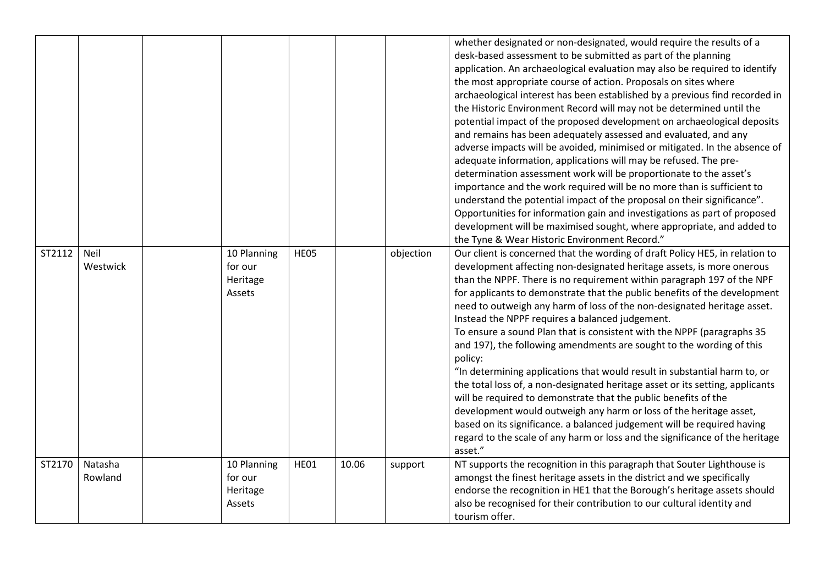|        |                         |                                              |      |       |           | whether designated or non-designated, would require the results of a<br>desk-based assessment to be submitted as part of the planning<br>application. An archaeological evaluation may also be required to identify<br>the most appropriate course of action. Proposals on sites where<br>archaeological interest has been established by a previous find recorded in<br>the Historic Environment Record will may not be determined until the<br>potential impact of the proposed development on archaeological deposits<br>and remains has been adequately assessed and evaluated, and any<br>adverse impacts will be avoided, minimised or mitigated. In the absence of<br>adequate information, applications will may be refused. The pre-<br>determination assessment work will be proportionate to the asset's<br>importance and the work required will be no more than is sufficient to<br>understand the potential impact of the proposal on their significance".<br>Opportunities for information gain and investigations as part of proposed<br>development will be maximised sought, where appropriate, and added to<br>the Tyne & Wear Historic Environment Record." |
|--------|-------------------------|----------------------------------------------|------|-------|-----------|---------------------------------------------------------------------------------------------------------------------------------------------------------------------------------------------------------------------------------------------------------------------------------------------------------------------------------------------------------------------------------------------------------------------------------------------------------------------------------------------------------------------------------------------------------------------------------------------------------------------------------------------------------------------------------------------------------------------------------------------------------------------------------------------------------------------------------------------------------------------------------------------------------------------------------------------------------------------------------------------------------------------------------------------------------------------------------------------------------------------------------------------------------------------------------|
| ST2112 | <b>Neil</b><br>Westwick | 10 Planning<br>for our<br>Heritage<br>Assets | HE05 |       | objection | Our client is concerned that the wording of draft Policy HE5, in relation to<br>development affecting non-designated heritage assets, is more onerous<br>than the NPPF. There is no requirement within paragraph 197 of the NPF<br>for applicants to demonstrate that the public benefits of the development<br>need to outweigh any harm of loss of the non-designated heritage asset.<br>Instead the NPPF requires a balanced judgement.<br>To ensure a sound Plan that is consistent with the NPPF (paragraphs 35<br>and 197), the following amendments are sought to the wording of this<br>policy:<br>"In determining applications that would result in substantial harm to, or<br>the total loss of, a non-designated heritage asset or its setting, applicants<br>will be required to demonstrate that the public benefits of the<br>development would outweigh any harm or loss of the heritage asset,<br>based on its significance. a balanced judgement will be required having<br>regard to the scale of any harm or loss and the significance of the heritage<br>asset."                                                                                            |
| ST2170 | Natasha<br>Rowland      | 10 Planning<br>for our<br>Heritage<br>Assets | HE01 | 10.06 | support   | NT supports the recognition in this paragraph that Souter Lighthouse is<br>amongst the finest heritage assets in the district and we specifically<br>endorse the recognition in HE1 that the Borough's heritage assets should<br>also be recognised for their contribution to our cultural identity and<br>tourism offer.                                                                                                                                                                                                                                                                                                                                                                                                                                                                                                                                                                                                                                                                                                                                                                                                                                                       |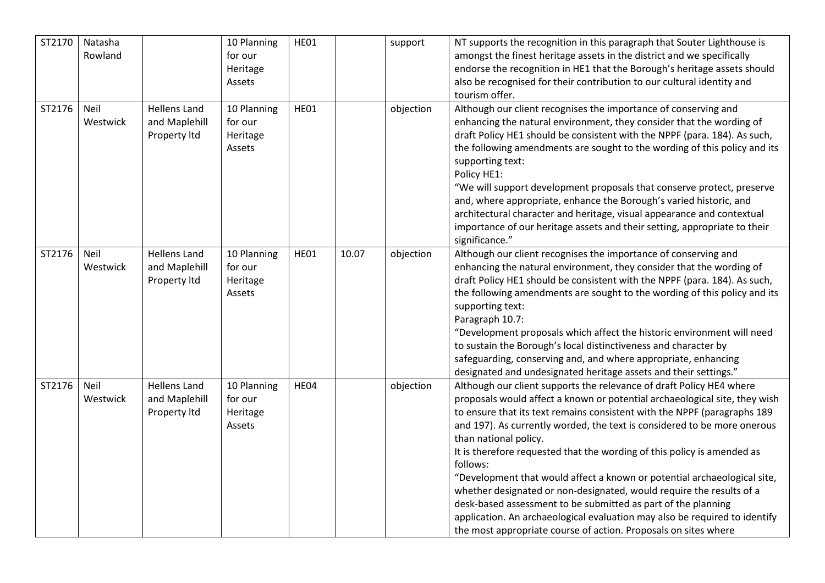| ST2170 | Natasha<br>Rowland |                                                      | 10 Planning<br>for our<br>Heritage<br>Assets | <b>HE01</b> |       | support   | NT supports the recognition in this paragraph that Souter Lighthouse is<br>amongst the finest heritage assets in the district and we specifically<br>endorse the recognition in HE1 that the Borough's heritage assets should<br>also be recognised for their contribution to our cultural identity and<br>tourism offer.                                                                                                                                                                                                                                                                                                                                                                                                                                                                        |
|--------|--------------------|------------------------------------------------------|----------------------------------------------|-------------|-------|-----------|--------------------------------------------------------------------------------------------------------------------------------------------------------------------------------------------------------------------------------------------------------------------------------------------------------------------------------------------------------------------------------------------------------------------------------------------------------------------------------------------------------------------------------------------------------------------------------------------------------------------------------------------------------------------------------------------------------------------------------------------------------------------------------------------------|
| ST2176 | Neil<br>Westwick   | <b>Hellens Land</b><br>and Maplehill<br>Property Itd | 10 Planning<br>for our<br>Heritage<br>Assets | HE01        |       | objection | Although our client recognises the importance of conserving and<br>enhancing the natural environment, they consider that the wording of<br>draft Policy HE1 should be consistent with the NPPF (para. 184). As such,<br>the following amendments are sought to the wording of this policy and its<br>supporting text:<br>Policy HE1:<br>"We will support development proposals that conserve protect, preserve<br>and, where appropriate, enhance the Borough's varied historic, and<br>architectural character and heritage, visual appearance and contextual<br>importance of our heritage assets and their setting, appropriate to their<br>significance."                                                                                                                                    |
| ST2176 | Neil<br>Westwick   | <b>Hellens Land</b><br>and Maplehill<br>Property Itd | 10 Planning<br>for our<br>Heritage<br>Assets | HE01        | 10.07 | objection | Although our client recognises the importance of conserving and<br>enhancing the natural environment, they consider that the wording of<br>draft Policy HE1 should be consistent with the NPPF (para. 184). As such,<br>the following amendments are sought to the wording of this policy and its<br>supporting text:<br>Paragraph 10.7:<br>"Development proposals which affect the historic environment will need<br>to sustain the Borough's local distinctiveness and character by<br>safeguarding, conserving and, and where appropriate, enhancing<br>designated and undesignated heritage assets and their settings."                                                                                                                                                                      |
| ST2176 | Neil<br>Westwick   | <b>Hellens Land</b><br>and Maplehill<br>Property Itd | 10 Planning<br>for our<br>Heritage<br>Assets | HE04        |       | objection | Although our client supports the relevance of draft Policy HE4 where<br>proposals would affect a known or potential archaeological site, they wish<br>to ensure that its text remains consistent with the NPPF (paragraphs 189<br>and 197). As currently worded, the text is considered to be more onerous<br>than national policy.<br>It is therefore requested that the wording of this policy is amended as<br>follows:<br>"Development that would affect a known or potential archaeological site,<br>whether designated or non-designated, would require the results of a<br>desk-based assessment to be submitted as part of the planning<br>application. An archaeological evaluation may also be required to identify<br>the most appropriate course of action. Proposals on sites where |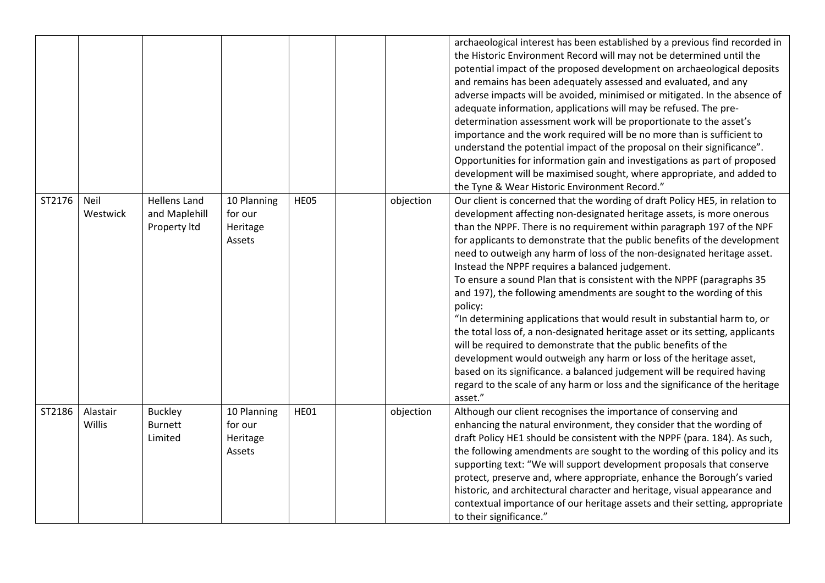|        |                           |                                                      |                                              |      |           | archaeological interest has been established by a previous find recorded in<br>the Historic Environment Record will may not be determined until the<br>potential impact of the proposed development on archaeological deposits<br>and remains has been adequately assessed and evaluated, and any<br>adverse impacts will be avoided, minimised or mitigated. In the absence of<br>adequate information, applications will may be refused. The pre-<br>determination assessment work will be proportionate to the asset's<br>importance and the work required will be no more than is sufficient to<br>understand the potential impact of the proposal on their significance".<br>Opportunities for information gain and investigations as part of proposed<br>development will be maximised sought, where appropriate, and added to<br>the Tyne & Wear Historic Environment Record."                                                                                                                                                                                                |
|--------|---------------------------|------------------------------------------------------|----------------------------------------------|------|-----------|--------------------------------------------------------------------------------------------------------------------------------------------------------------------------------------------------------------------------------------------------------------------------------------------------------------------------------------------------------------------------------------------------------------------------------------------------------------------------------------------------------------------------------------------------------------------------------------------------------------------------------------------------------------------------------------------------------------------------------------------------------------------------------------------------------------------------------------------------------------------------------------------------------------------------------------------------------------------------------------------------------------------------------------------------------------------------------------|
| ST2176 | Neil<br>Westwick          | <b>Hellens Land</b><br>and Maplehill<br>Property Itd | 10 Planning<br>for our<br>Heritage<br>Assets | HE05 | objection | Our client is concerned that the wording of draft Policy HE5, in relation to<br>development affecting non-designated heritage assets, is more onerous<br>than the NPPF. There is no requirement within paragraph 197 of the NPF<br>for applicants to demonstrate that the public benefits of the development<br>need to outweigh any harm of loss of the non-designated heritage asset.<br>Instead the NPPF requires a balanced judgement.<br>To ensure a sound Plan that is consistent with the NPPF (paragraphs 35<br>and 197), the following amendments are sought to the wording of this<br>policy:<br>"In determining applications that would result in substantial harm to, or<br>the total loss of, a non-designated heritage asset or its setting, applicants<br>will be required to demonstrate that the public benefits of the<br>development would outweigh any harm or loss of the heritage asset,<br>based on its significance. a balanced judgement will be required having<br>regard to the scale of any harm or loss and the significance of the heritage<br>asset." |
| ST2186 | Alastair<br><b>Willis</b> | <b>Buckley</b><br><b>Burnett</b><br>Limited          | 10 Planning<br>for our<br>Heritage<br>Assets | HE01 | objection | Although our client recognises the importance of conserving and<br>enhancing the natural environment, they consider that the wording of<br>draft Policy HE1 should be consistent with the NPPF (para. 184). As such,<br>the following amendments are sought to the wording of this policy and its<br>supporting text: "We will support development proposals that conserve<br>protect, preserve and, where appropriate, enhance the Borough's varied<br>historic, and architectural character and heritage, visual appearance and<br>contextual importance of our heritage assets and their setting, appropriate<br>to their significance."                                                                                                                                                                                                                                                                                                                                                                                                                                          |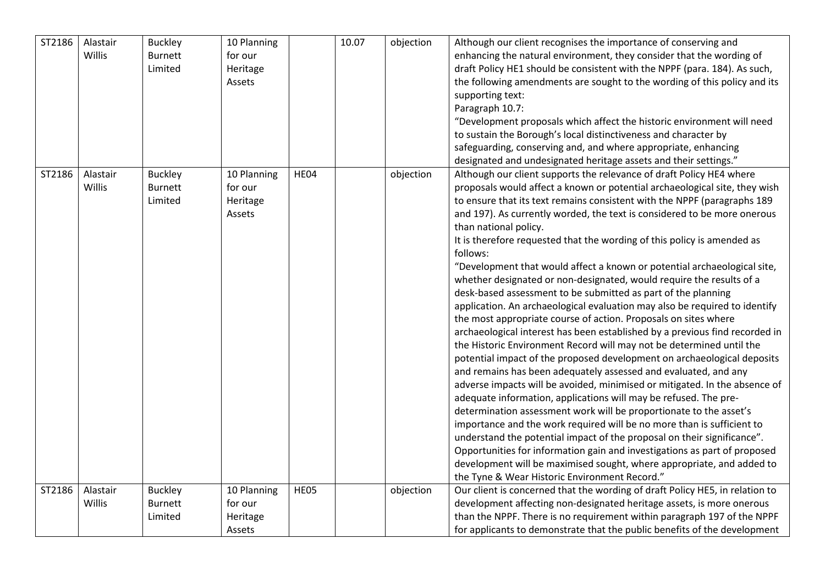| ST2186 | Alastair<br>Willis        | <b>Buckley</b><br><b>Burnett</b><br>Limited | 10 Planning<br>for our<br>Heritage<br>Assets |             | 10.07 | objection | Although our client recognises the importance of conserving and<br>enhancing the natural environment, they consider that the wording of<br>draft Policy HE1 should be consistent with the NPPF (para. 184). As such,<br>the following amendments are sought to the wording of this policy and its<br>supporting text:<br>Paragraph 10.7:<br>"Development proposals which affect the historic environment will need<br>to sustain the Borough's local distinctiveness and character by<br>safeguarding, conserving and, and where appropriate, enhancing<br>designated and undesignated heritage assets and their settings."                                                                                                                                                                                                                                                                                                                                                                                                                                                                                                                                                                                                                                                                                                                                                                                                                                                                                                                                                                                                                                                               |
|--------|---------------------------|---------------------------------------------|----------------------------------------------|-------------|-------|-----------|-------------------------------------------------------------------------------------------------------------------------------------------------------------------------------------------------------------------------------------------------------------------------------------------------------------------------------------------------------------------------------------------------------------------------------------------------------------------------------------------------------------------------------------------------------------------------------------------------------------------------------------------------------------------------------------------------------------------------------------------------------------------------------------------------------------------------------------------------------------------------------------------------------------------------------------------------------------------------------------------------------------------------------------------------------------------------------------------------------------------------------------------------------------------------------------------------------------------------------------------------------------------------------------------------------------------------------------------------------------------------------------------------------------------------------------------------------------------------------------------------------------------------------------------------------------------------------------------------------------------------------------------------------------------------------------------|
| ST2186 | Alastair<br>Willis        | <b>Buckley</b><br><b>Burnett</b><br>Limited | 10 Planning<br>for our<br>Heritage<br>Assets | HE04        |       | objection | Although our client supports the relevance of draft Policy HE4 where<br>proposals would affect a known or potential archaeological site, they wish<br>to ensure that its text remains consistent with the NPPF (paragraphs 189<br>and 197). As currently worded, the text is considered to be more onerous<br>than national policy.<br>It is therefore requested that the wording of this policy is amended as<br>follows:<br>"Development that would affect a known or potential archaeological site,<br>whether designated or non-designated, would require the results of a<br>desk-based assessment to be submitted as part of the planning<br>application. An archaeological evaluation may also be required to identify<br>the most appropriate course of action. Proposals on sites where<br>archaeological interest has been established by a previous find recorded in<br>the Historic Environment Record will may not be determined until the<br>potential impact of the proposed development on archaeological deposits<br>and remains has been adequately assessed and evaluated, and any<br>adverse impacts will be avoided, minimised or mitigated. In the absence of<br>adequate information, applications will may be refused. The pre-<br>determination assessment work will be proportionate to the asset's<br>importance and the work required will be no more than is sufficient to<br>understand the potential impact of the proposal on their significance".<br>Opportunities for information gain and investigations as part of proposed<br>development will be maximised sought, where appropriate, and added to<br>the Tyne & Wear Historic Environment Record." |
| ST2186 | Alastair<br><b>Willis</b> | <b>Buckley</b><br><b>Burnett</b><br>Limited | 10 Planning<br>for our<br>Heritage<br>Assets | <b>HE05</b> |       | objection | Our client is concerned that the wording of draft Policy HE5, in relation to<br>development affecting non-designated heritage assets, is more onerous<br>than the NPPF. There is no requirement within paragraph 197 of the NPPF<br>for applicants to demonstrate that the public benefits of the development                                                                                                                                                                                                                                                                                                                                                                                                                                                                                                                                                                                                                                                                                                                                                                                                                                                                                                                                                                                                                                                                                                                                                                                                                                                                                                                                                                             |